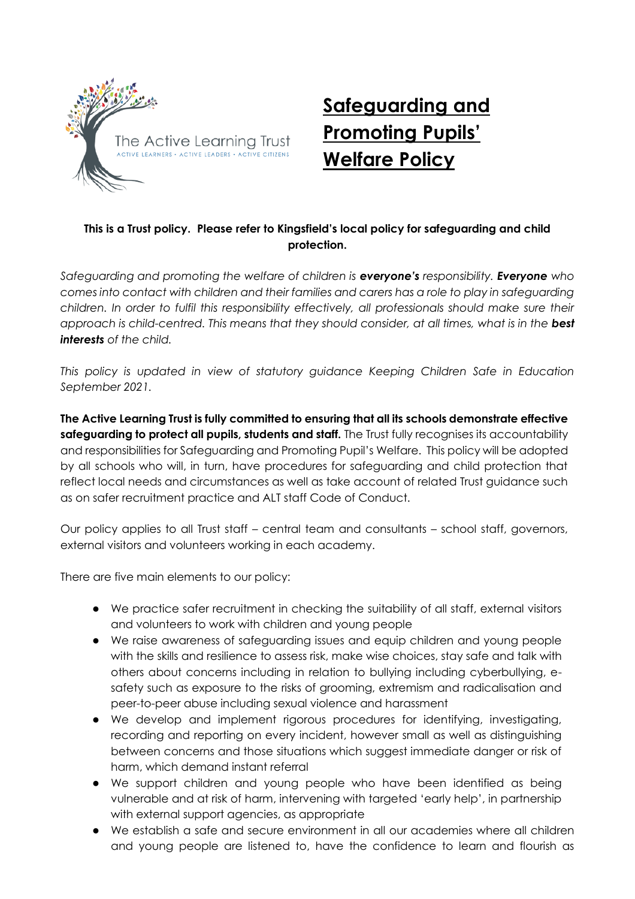

# **Safeguarding and Promoting Pupils' Welfare Policy**

## **This is a Trust policy. Please refer to Kingsfield's local policy for safeguarding and child protection.**

*Safeguarding and promoting the welfare of children is everyone's responsibility. Everyone who comes into contact with children and their families and carers has a role to play in safeguarding children. In order to fulfil this responsibility effectively, all professionals should make sure their*  approach is child-centred. This means that they should consider, at all times, what is in the **best** *interests of the child.* 

*This policy is updated in view of statutory guidance Keeping Children Safe in Education September 2021.*

**The Active Learning Trust is fully committed to ensuring that all its schools demonstrate effective safeguarding to protect all pupils, students and staff.** The Trust fully recognises its accountability and responsibilities for Safeguarding and Promoting Pupil's Welfare. This policy will be adopted by all schools who will, in turn, have procedures for safeguarding and child protection that reflect local needs and circumstances as well as take account of related Trust guidance such as on safer recruitment practice and ALT staff Code of Conduct.

Our policy applies to all Trust staff – central team and consultants – school staff, governors, external visitors and volunteers working in each academy.

There are five main elements to our policy:

- We practice safer recruitment in checking the suitability of all staff, external visitors and volunteers to work with children and young people
- We raise awareness of safeguarding issues and equip children and young people with the skills and resilience to assess risk, make wise choices, stay safe and talk with others about concerns including in relation to bullying including cyberbullying, esafety such as exposure to the risks of grooming, extremism and radicalisation and peer-to-peer abuse including sexual violence and harassment
- We develop and implement rigorous procedures for identifying, investigating, recording and reporting on every incident, however small as well as distinguishing between concerns and those situations which suggest immediate danger or risk of harm, which demand instant referral
- We support children and young people who have been identified as being vulnerable and at risk of harm, intervening with targeted 'early help', in partnership with external support agencies, as appropriate
- We establish a safe and secure environment in all our academies where all children and young people are listened to, have the confidence to learn and flourish as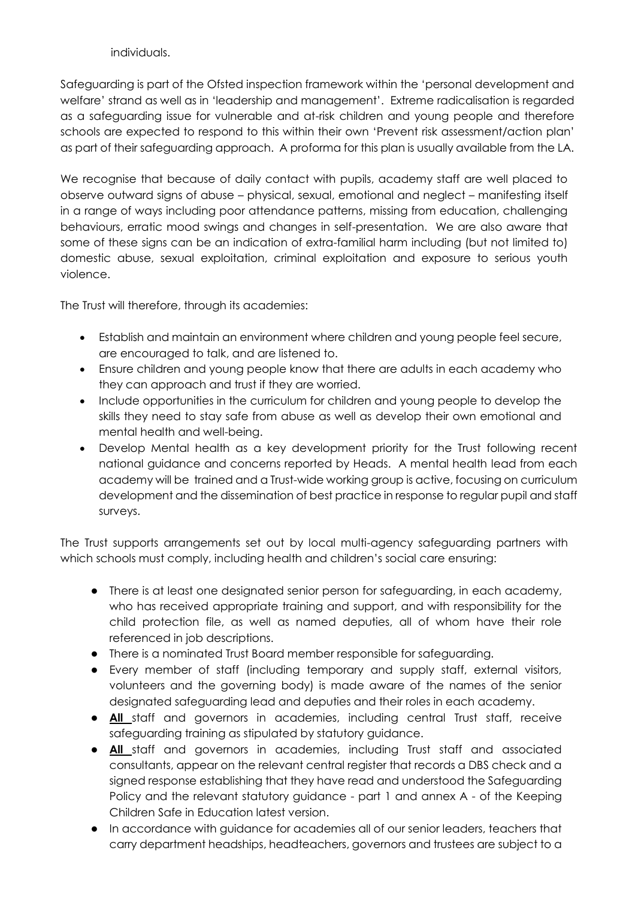individuals.

Safeguarding is part of the Ofsted inspection framework within the 'personal development and welfare' strand as well as in 'leadership and management'. Extreme radicalisation is regarded as a safeguarding issue for vulnerable and at-risk children and young people and therefore schools are expected to respond to this within their own 'Prevent risk assessment/action plan' as part of their safeguarding approach. A proforma for this plan is usually available from the LA.

We recognise that because of daily contact with pupils, academy staff are well placed to observe outward signs of abuse – physical, sexual, emotional and neglect – manifesting itself in a range of ways including poor attendance patterns, missing from education, challenging behaviours, erratic mood swings and changes in self-presentation. We are also aware that some of these signs can be an indication of extra-familial harm including (but not limited to) domestic abuse, sexual exploitation, criminal exploitation and exposure to serious youth violence.

The Trust will therefore, through its academies:

- Establish and maintain an environment where children and young people feel secure, are encouraged to talk, and are listened to.
- Ensure children and young people know that there are adults in each academy who they can approach and trust if they are worried.
- Include opportunities in the curriculum for children and young people to develop the skills they need to stay safe from abuse as well as develop their own emotional and mental health and well-being.
- Develop Mental health as a key development priority for the Trust following recent national guidance and concerns reported by Heads. A mental health lead from each academy will be trained and a Trust-wide working group is active, focusing on curriculum development and the dissemination of best practice in response to regular pupil and staff surveys.

The Trust supports arrangements set out by local multi-agency safeguarding partners with which schools must comply, including health and children's social care ensuring:

- There is at least one designated senior person for safeguarding, in each academy, who has received appropriate training and support, and with responsibility for the child protection file, as well as named deputies, all of whom have their role referenced in job descriptions.
- There is a nominated Trust Board member responsible for safeguarding.
- Every member of staff (including temporary and supply staff, external visitors, volunteers and the governing body) is made aware of the names of the senior designated safeguarding lead and deputies and their roles in each academy.
- **All** staff and governors in academies, including central Trust staff, receive safeguarding training as stipulated by statutory guidance.
- **All** staff and governors in academies, including Trust staff and associated consultants, appear on the relevant central register that records a DBS check and a signed response establishing that they have read and understood the Safeguarding Policy and the relevant statutory guidance - part 1 and annex A - of the Keeping Children Safe in Education latest version.
- In accordance with guidance for academies all of our senior leaders, teachers that carry department headships, headteachers, governors and trustees are subject to a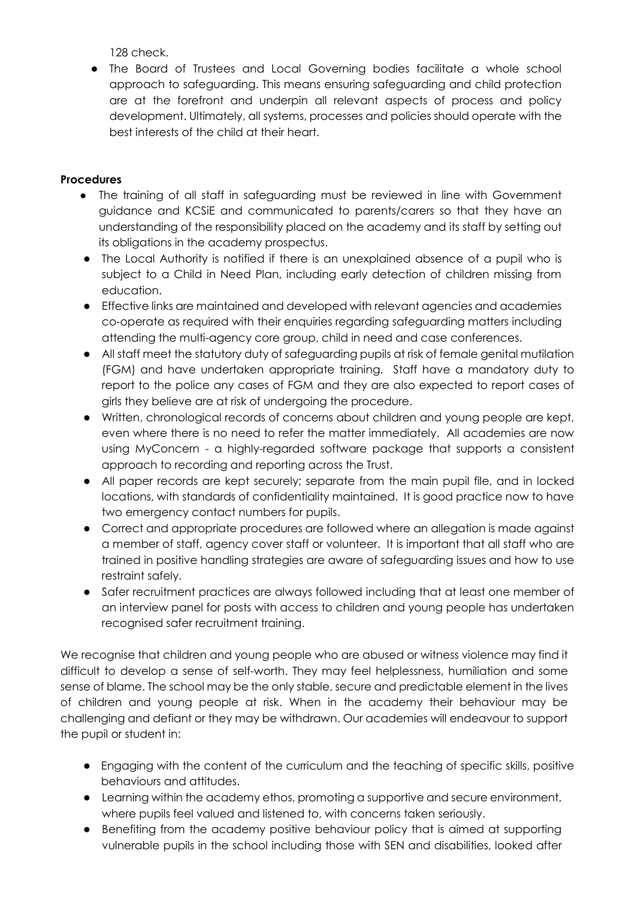128 check.

● The Board of Trustees and Local Governing bodies facilitate a whole school approach to safeguarding. This means ensuring safeguarding and child protection are at the forefront and underpin all relevant aspects of process and policy development. Ultimately, all systems, processes and policies should operate with the best interests of the child at their heart.

### **Procedures**

- The training of all staff in safeguarding must be reviewed in line with Government guidance and KCSiE and communicated to parents/carers so that they have an understanding of the responsibility placed on the academy and its staff by setting out its obligations in the academy prospectus.
- The Local Authority is notified if there is an unexplained absence of a pupil who is subject to a Child in Need Plan, including early detection of children missing from education.
- Effective links are maintained and developed with relevant agencies and academies co‐operate as required with their enquiries regarding safeguarding matters including attending the multi-agency core group, child in need and case conferences.
- All staff meet the statutory duty of safeguarding pupils at risk of female genital mutilation (FGM) and have undertaken appropriate training. Staff have a mandatory duty to report to the police any cases of FGM and they are also expected to report cases of girls they believe are at risk of undergoing the procedure.
- Written, chronological records of concerns about children and young people are kept, even where there is no need to refer the matter immediately. All academies are now using MyConcern - a highly-regarded software package that supports a consistent approach to recording and reporting across the Trust.
- All paper records are kept securely; separate from the main pupil file, and in locked locations, with standards of confidentiality maintained. It is good practice now to have two emergency contact numbers for pupils.
- Correct and appropriate procedures are followed where an allegation is made against a member of staff, agency cover staff or volunteer. It is important that all staff who are trained in positive handling strategies are aware of safeguarding issues and how to use restraint safely.
- Safer recruitment practices are always followed including that at least one member of an interview panel for posts with access to children and young people has undertaken recognised safer recruitment training.

We recognise that children and young people who are abused or witness violence may find it difficult to develop a sense of self-worth. They may feel helplessness, humiliation and some sense of blame. The school may be the only stable, secure and predictable element in the lives of children and young people at risk. When in the academy their behaviour may be challenging and defiant or they may be withdrawn. Our academies will endeavour to support the pupil or student in:

- Engaging with the content of the curriculum and the teaching of specific skills, positive behaviours and attitudes.
- Learning within the academy ethos, promoting a supportive and secure environment, where pupils feel valued and listened to, with concerns taken seriously.
- Benefiting from the academy positive behaviour policy that is aimed at supporting vulnerable pupils in the school including those with SEN and disabilities, looked after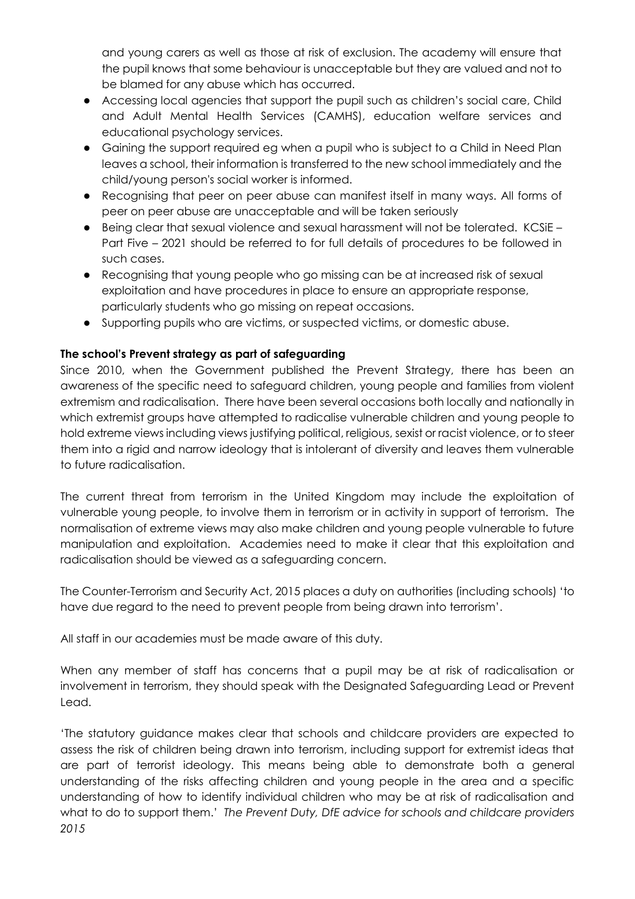and young carers as well as those at risk of exclusion. The academy will ensure that the pupil knows that some behaviour is unacceptable but they are valued and not to be blamed for any abuse which has occurred.

- Accessing local agencies that support the pupil such as children's social care, Child and Adult Mental Health Services (CAMHS), education welfare services and educational psychology services.
- Gaining the support required eg when a pupil who is subject to a Child in Need Plan leaves a school, their information is transferred to the new school immediately and the child/young person's social worker is informed.
- Recognising that peer on peer abuse can manifest itself in many ways. All forms of peer on peer abuse are unacceptable and will be taken seriously
- Being clear that sexual violence and sexual harassment will not be tolerated. KCSiE Part Five – 2021 should be referred to for full details of procedures to be followed in such cases.
- Recognising that young people who go missing can be at increased risk of sexual exploitation and have procedures in place to ensure an appropriate response, particularly students who go missing on repeat occasions.
- Supporting pupils who are victims, or suspected victims, or domestic abuse.

### **The school's Prevent strategy as part of safeguarding**

Since 2010, when the Government published the Prevent Strategy, there has been an awareness of the specific need to safeguard children, young people and families from violent extremism and radicalisation. There have been several occasions both locally and nationally in which extremist groups have attempted to radicalise vulnerable children and young people to hold extreme views including views justifying political, religious, sexist or racist violence, or to steer them into a rigid and narrow ideology that is intolerant of diversity and leaves them vulnerable to future radicalisation.

The current threat from terrorism in the United Kingdom may include the exploitation of vulnerable young people, to involve them in terrorism or in activity in support of terrorism. The normalisation of extreme views may also make children and young people vulnerable to future manipulation and exploitation. Academies need to make it clear that this exploitation and radicalisation should be viewed as a safeguarding concern.

The Counter-Terrorism and Security Act, 2015 places a duty on authorities (including schools) 'to have due regard to the need to prevent people from being drawn into terrorism'.

All staff in our academies must be made aware of this duty.

When any member of staff has concerns that a pupil may be at risk of radicalisation or involvement in terrorism, they should speak with the Designated Safeguarding Lead or Prevent Lead.

'The statutory guidance makes clear that schools and childcare providers are expected to assess the risk of children being drawn into terrorism, including support for extremist ideas that are part of terrorist ideology. This means being able to demonstrate both a general understanding of the risks affecting children and young people in the area and a specific understanding of how to identify individual children who may be at risk of radicalisation and what to do to support them.' *The Prevent Duty, DfE advice for schools and childcare providers 2015*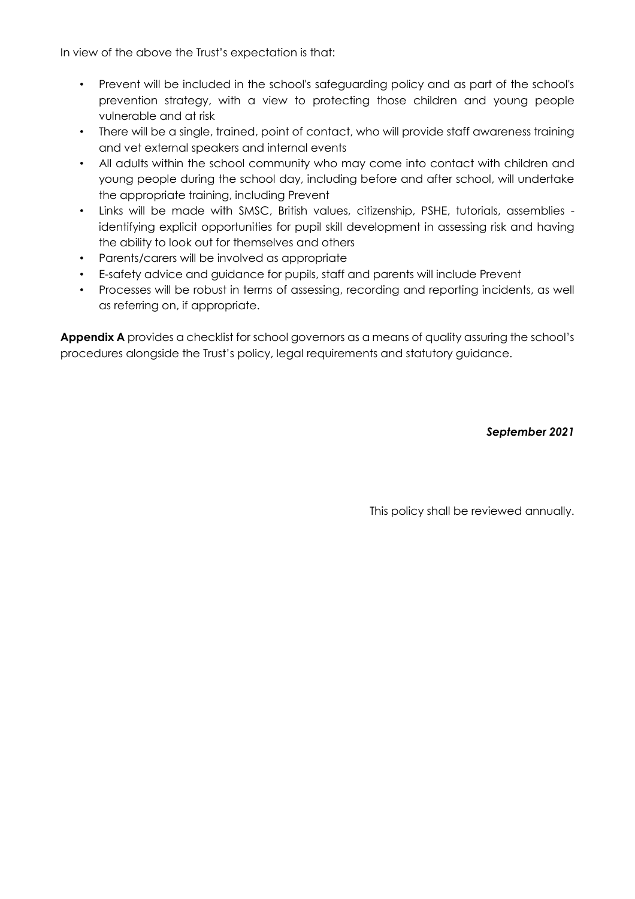In view of the above the Trust's expectation is that:

- Prevent will be included in the school's safeguarding policy and as part of the school's prevention strategy, with a view to protecting those children and young people vulnerable and at risk
- There will be a single, trained, point of contact, who will provide staff awareness training and vet external speakers and internal events
- All adults within the school community who may come into contact with children and young people during the school day, including before and after school, will undertake the appropriate training, including Prevent
- Links will be made with SMSC, British values, citizenship, PSHE, tutorials, assemblies identifying explicit opportunities for pupil skill development in assessing risk and having the ability to look out for themselves and others
- Parents/carers will be involved as appropriate
- E-safety advice and guidance for pupils, staff and parents will include Prevent
- Processes will be robust in terms of assessing, recording and reporting incidents, as well as referring on, if appropriate.

Appendix A provides a checklist for school governors as a means of quality assuring the school's procedures alongside the Trust's policy, legal requirements and statutory guidance.

*September 2021*

This policy shall be reviewed annually.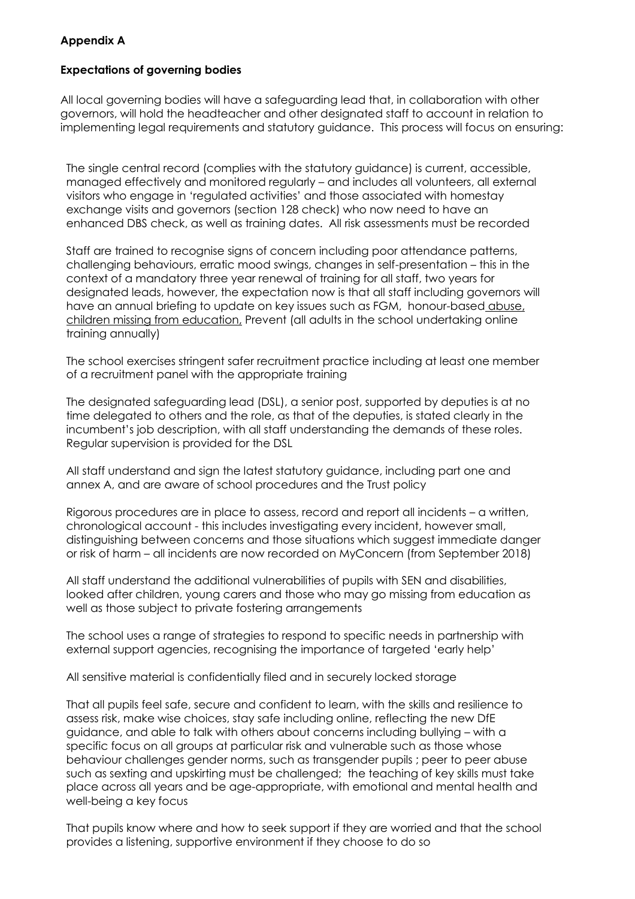#### **Appendix A**

#### **Expectations of governing bodies**

All local governing bodies will have a safeguarding lead that, in collaboration with other governors, will hold the headteacher and other designated staff to account in relation to implementing legal requirements and statutory guidance. This process will focus on ensuring:

The single central record (complies with the statutory guidance) is current, accessible, managed effectively and monitored regularly – and includes all volunteers, all external visitors who engage in 'regulated activities' and those associated with homestay exchange visits and governors (section 128 check) who now need to have an enhanced DBS check, as well as training dates. All risk assessments must be recorded

Staff are trained to recognise signs of concern including poor attendance patterns, challenging behaviours, erratic mood swings, changes in self-presentation – this in the context of a mandatory three year renewal of training for all staff, two years for designated leads, however, the expectation now is that all staff including governors will have an annual briefing to update on key issues such as FGM, honour-based abuse, children missing from education, Prevent (all adults in the school undertaking online training annually)

The school exercises stringent safer recruitment practice including at least one member of a recruitment panel with the appropriate training

The designated safeguarding lead (DSL), a senior post, supported by deputies is at no time delegated to others and the role, as that of the deputies, is stated clearly in the incumbent's job description, with all staff understanding the demands of these roles. Regular supervision is provided for the DSL

All staff understand and sign the latest statutory guidance, including part one and annex A, and are aware of school procedures and the Trust policy

Rigorous procedures are in place to assess, record and report all incidents – a written, chronological account - this includes investigating every incident, however small, distinguishing between concerns and those situations which suggest immediate danger or risk of harm – all incidents are now recorded on MyConcern (from September 2018)

All staff understand the additional vulnerabilities of pupils with SEN and disabilities, looked after children, young carers and those who may go missing from education as well as those subject to private fostering arrangements

The school uses a range of strategies to respond to specific needs in partnership with external support agencies, recognising the importance of targeted 'early help'

All sensitive material is confidentially filed and in securely locked storage

That all pupils feel safe, secure and confident to learn, with the skills and resilience to assess risk, make wise choices, stay safe including online, reflecting the new DfE guidance, and able to talk with others about concerns including bullying – with a specific focus on all groups at particular risk and vulnerable such as those whose behaviour challenges gender norms, such as transgender pupils ; peer to peer abuse such as sexting and upskirting must be challenged; the teaching of key skills must take place across all years and be age-appropriate, with emotional and mental health and well-being a key focus

That pupils know where and how to seek support if they are worried and that the school provides a listening, supportive environment if they choose to do so